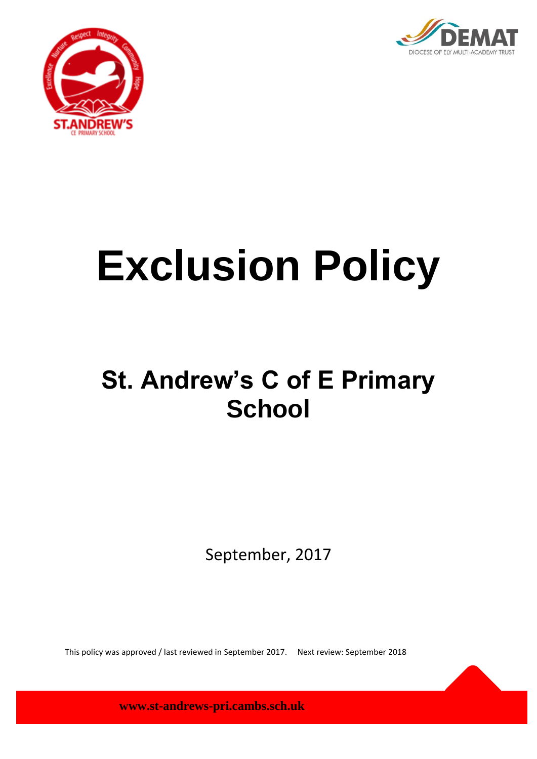



# **Exclusion Policy**

# **St. Andrew's C of E Primary School**

September, 2017

This policy was approved / last reviewed in September 2017. Next review: September 2018

**www.st-andrews-pri.cambs.sch.uk**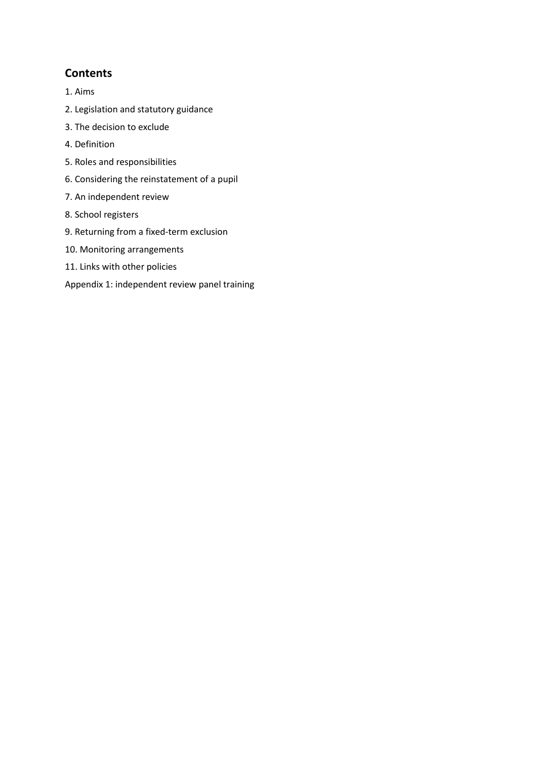# **Contents**

- 1. Aims
- 2. Legislation and statutory guidance
- 3. The decision to exclude
- 4. Definition
- 5. Roles and responsibilities
- 6. Considering the reinstatement of a pupil
- 7. An independent review
- 8. School registers
- 9. Returning from a fixed-term exclusion
- 10. Monitoring arrangements
- 11. Links with other policies
- Appendix 1: independent review panel training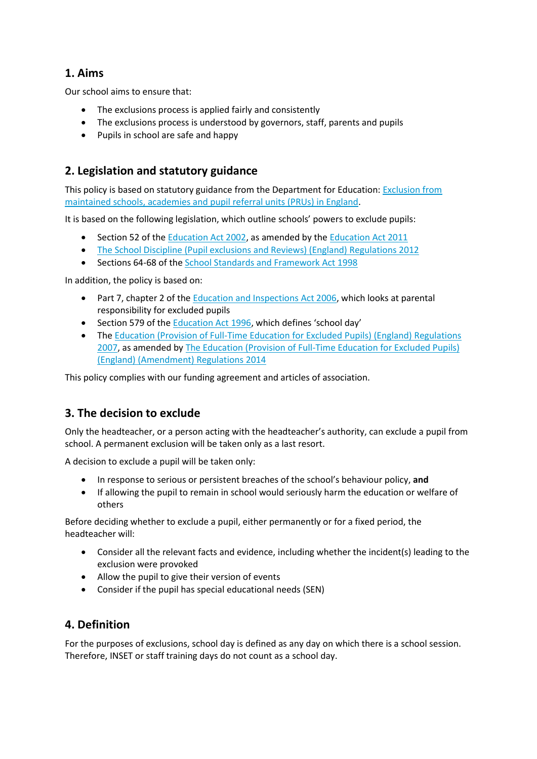## **1. Aims**

Our school aims to ensure that:

- The exclusions process is applied fairly and consistently
- The exclusions process is understood by governors, staff, parents and pupils
- Pupils in school are safe and happy

## **2. Legislation and statutory guidance**

This policy is based on statutory guidance from the Department for Education: [Exclusion from](https://www.gov.uk/government/publications/school-exclusion)  [maintained schools, academies and pupil referral units \(PRUs\) in England.](https://www.gov.uk/government/publications/school-exclusion)

It is based on the following legislation, which outline schools' powers to exclude pupils:

- Section 52 of the [Education Act 2002,](http://www.legislation.gov.uk/ukpga/2002/32/section/52) as amended by th[e Education Act 2011](http://www.legislation.gov.uk/ukpga/2011/21/contents/enacted)
- [The School Discipline \(Pupil exclusions and Reviews\) \(England\) Regulations 2012](http://www.legislation.gov.uk/uksi/2012/1033/made)
- Sections 64-68 of the [School Standards and Framework Act 1998](http://www.legislation.gov.uk/ukpga/1998/31)

In addition, the policy is based on:

- Part 7, chapter 2 of the [Education and Inspections Act 2006,](http://www.legislation.gov.uk/ukpga/2006/40/part/7/chapter/2) which looks at parental responsibility for excluded pupils
- Section 579 of th[e Education Act 1996](http://www.legislation.gov.uk/ukpga/1996/56/section/579), which defines 'school day'
- The [Education \(Provision of Full-Time Education for Excluded Pupils\) \(England\) Regulations](http://www.legislation.gov.uk/uksi/2007/1870/contents/made)  [2007,](http://www.legislation.gov.uk/uksi/2007/1870/contents/made) as amended b[y The Education \(Provision of Full-Time Education for Excluded Pupils\)](http://www.legislation.gov.uk/uksi/2014/3216/contents/made)  [\(England\) \(Amendment\) Regulations 2014](http://www.legislation.gov.uk/uksi/2014/3216/contents/made)

This policy complies with our funding agreement and articles of association.

#### **3. The decision to exclude**

Only the headteacher, or a person acting with the headteacher's authority, can exclude a pupil from school. A permanent exclusion will be taken only as a last resort.

A decision to exclude a pupil will be taken only:

- In response to serious or persistent breaches of the school's behaviour policy, **and**
- If allowing the pupil to remain in school would seriously harm the education or welfare of others

Before deciding whether to exclude a pupil, either permanently or for a fixed period, the headteacher will:

- Consider all the relevant facts and evidence, including whether the incident(s) leading to the exclusion were provoked
- Allow the pupil to give their version of events
- Consider if the pupil has special educational needs (SEN)

#### **4. Definition**

For the purposes of exclusions, school day is defined as any day on which there is a school session. Therefore, INSET or staff training days do not count as a school day.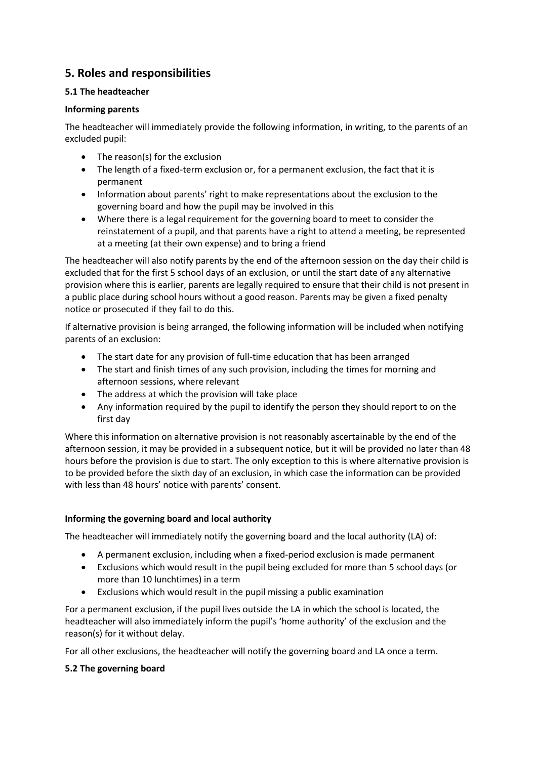# **5. Roles and responsibilities**

#### **5.1 The headteacher**

#### **Informing parents**

The headteacher will immediately provide the following information, in writing, to the parents of an excluded pupil:

- The reason(s) for the exclusion
- The length of a fixed-term exclusion or, for a permanent exclusion, the fact that it is permanent
- Information about parents' right to make representations about the exclusion to the governing board and how the pupil may be involved in this
- Where there is a legal requirement for the governing board to meet to consider the reinstatement of a pupil, and that parents have a right to attend a meeting, be represented at a meeting (at their own expense) and to bring a friend

The headteacher will also notify parents by the end of the afternoon session on the day their child is excluded that for the first 5 school days of an exclusion, or until the start date of any alternative provision where this is earlier, parents are legally required to ensure that their child is not present in a public place during school hours without a good reason. Parents may be given a fixed penalty notice or prosecuted if they fail to do this.

If alternative provision is being arranged, the following information will be included when notifying parents of an exclusion:

- The start date for any provision of full-time education that has been arranged
- The start and finish times of any such provision, including the times for morning and afternoon sessions, where relevant
- The address at which the provision will take place
- Any information required by the pupil to identify the person they should report to on the first day

Where this information on alternative provision is not reasonably ascertainable by the end of the afternoon session, it may be provided in a subsequent notice, but it will be provided no later than 48 hours before the provision is due to start. The only exception to this is where alternative provision is to be provided before the sixth day of an exclusion, in which case the information can be provided with less than 48 hours' notice with parents' consent.

#### **Informing the governing board and local authority**

The headteacher will immediately notify the governing board and the local authority (LA) of:

- A permanent exclusion, including when a fixed-period exclusion is made permanent
- Exclusions which would result in the pupil being excluded for more than 5 school days (or more than 10 lunchtimes) in a term
- Exclusions which would result in the pupil missing a public examination

For a permanent exclusion, if the pupil lives outside the LA in which the school is located, the headteacher will also immediately inform the pupil's 'home authority' of the exclusion and the reason(s) for it without delay.

For all other exclusions, the headteacher will notify the governing board and LA once a term.

#### **5.2 The governing board**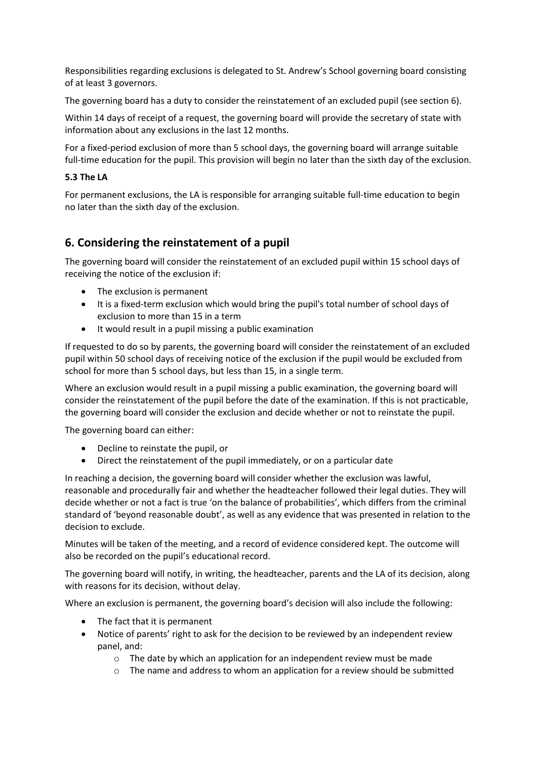Responsibilities regarding exclusions is delegated to St. Andrew's School governing board consisting of at least 3 governors.

The governing board has a duty to consider the reinstatement of an excluded pupil (see section 6).

Within 14 days of receipt of a request, the governing board will provide the secretary of state with information about any exclusions in the last 12 months.

For a fixed-period exclusion of more than 5 school days, the governing board will arrange suitable full-time education for the pupil. This provision will begin no later than the sixth day of the exclusion.

#### **5.3 The LA**

For permanent exclusions, the LA is responsible for arranging suitable full-time education to begin no later than the sixth day of the exclusion.

# **6. Considering the reinstatement of a pupil**

The governing board will consider the reinstatement of an excluded pupil within 15 school days of receiving the notice of the exclusion if:

- The exclusion is permanent
- It is a fixed-term exclusion which would bring the pupil's total number of school days of exclusion to more than 15 in a term
- It would result in a pupil missing a public examination

If requested to do so by parents, the governing board will consider the reinstatement of an excluded pupil within 50 school days of receiving notice of the exclusion if the pupil would be excluded from school for more than 5 school days, but less than 15, in a single term.

Where an exclusion would result in a pupil missing a public examination, the governing board will consider the reinstatement of the pupil before the date of the examination. If this is not practicable, the governing board will consider the exclusion and decide whether or not to reinstate the pupil.

The governing board can either:

- Decline to reinstate the pupil, or
- Direct the reinstatement of the pupil immediately, or on a particular date

In reaching a decision, the governing board will consider whether the exclusion was lawful, reasonable and procedurally fair and whether the headteacher followed their legal duties. They will decide whether or not a fact is true 'on the balance of probabilities', which differs from the criminal standard of 'beyond reasonable doubt', as well as any evidence that was presented in relation to the decision to exclude.

Minutes will be taken of the meeting, and a record of evidence considered kept. The outcome will also be recorded on the pupil's educational record.

The governing board will notify, in writing, the headteacher, parents and the LA of its decision, along with reasons for its decision, without delay.

Where an exclusion is permanent, the governing board's decision will also include the following:

- The fact that it is permanent
- Notice of parents' right to ask for the decision to be reviewed by an independent review panel, and:
	- o The date by which an application for an independent review must be made
	- o The name and address to whom an application for a review should be submitted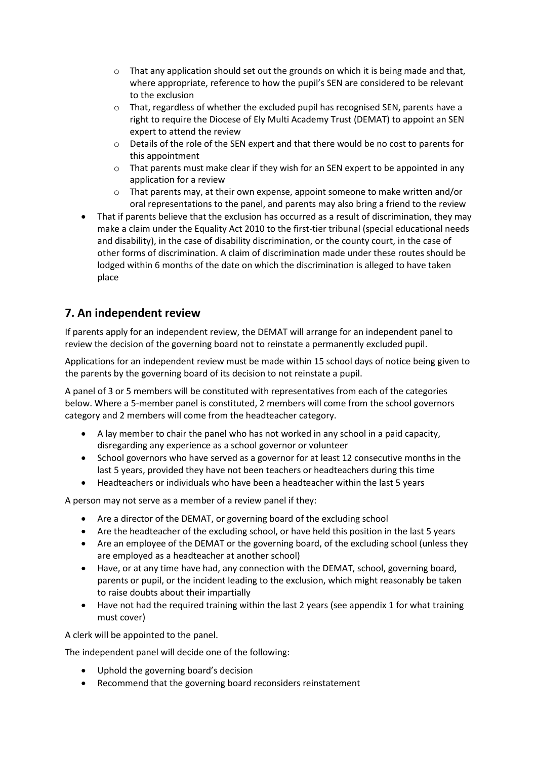- $\circ$  That any application should set out the grounds on which it is being made and that, where appropriate, reference to how the pupil's SEN are considered to be relevant to the exclusion
- o That, regardless of whether the excluded pupil has recognised SEN, parents have a right to require the Diocese of Ely Multi Academy Trust (DEMAT) to appoint an SEN expert to attend the review
- o Details of the role of the SEN expert and that there would be no cost to parents for this appointment
- $\circ$  That parents must make clear if they wish for an SEN expert to be appointed in any application for a review
- $\circ$  That parents may, at their own expense, appoint someone to make written and/or oral representations to the panel, and parents may also bring a friend to the review
- That if parents believe that the exclusion has occurred as a result of discrimination, they may make a claim under the Equality Act 2010 to the first-tier tribunal (special educational needs and disability), in the case of disability discrimination, or the county court, in the case of other forms of discrimination. A claim of discrimination made under these routes should be lodged within 6 months of the date on which the discrimination is alleged to have taken place

# **7. An independent review**

If parents apply for an independent review, the DEMAT will arrange for an independent panel to review the decision of the governing board not to reinstate a permanently excluded pupil.

Applications for an independent review must be made within 15 school days of notice being given to the parents by the governing board of its decision to not reinstate a pupil.

A panel of 3 or 5 members will be constituted with representatives from each of the categories below. Where a 5-member panel is constituted, 2 members will come from the school governors category and 2 members will come from the headteacher category.

- A lay member to chair the panel who has not worked in any school in a paid capacity, disregarding any experience as a school governor or volunteer
- School governors who have served as a governor for at least 12 consecutive months in the last 5 years, provided they have not been teachers or headteachers during this time
- Headteachers or individuals who have been a headteacher within the last 5 years

A person may not serve as a member of a review panel if they:

- Are a director of the DEMAT, or governing board of the excluding school
- Are the headteacher of the excluding school, or have held this position in the last 5 years
- Are an employee of the DEMAT or the governing board, of the excluding school (unless they are employed as a headteacher at another school)
- Have, or at any time have had, any connection with the DEMAT, school, governing board, parents or pupil, or the incident leading to the exclusion, which might reasonably be taken to raise doubts about their impartially
- Have not had the required training within the last 2 years (see appendix 1 for what training must cover)

A clerk will be appointed to the panel.

The independent panel will decide one of the following:

- Uphold the governing board's decision
- Recommend that the governing board reconsiders reinstatement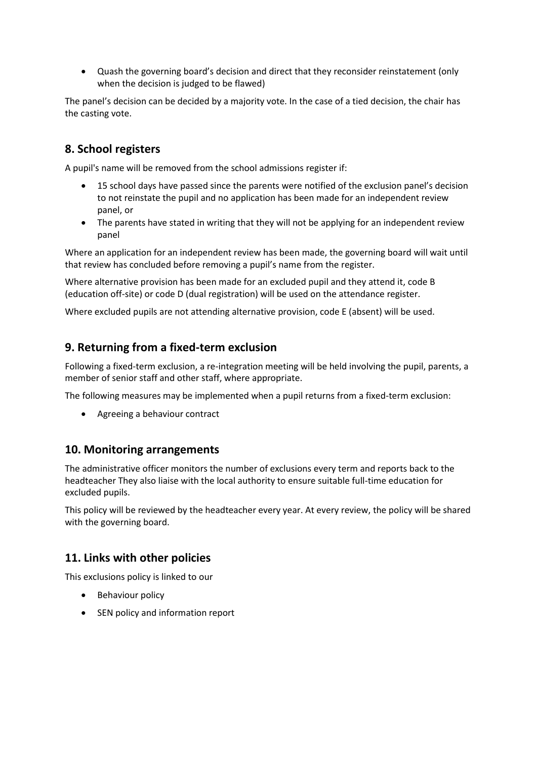Quash the governing board's decision and direct that they reconsider reinstatement (only when the decision is judged to be flawed)

The panel's decision can be decided by a majority vote. In the case of a tied decision, the chair has the casting vote.

# **8. School registers**

A pupil's name will be removed from the school admissions register if:

- 15 school days have passed since the parents were notified of the exclusion panel's decision to not reinstate the pupil and no application has been made for an independent review panel, or
- The parents have stated in writing that they will not be applying for an independent review panel

Where an application for an independent review has been made, the governing board will wait until that review has concluded before removing a pupil's name from the register.

Where alternative provision has been made for an excluded pupil and they attend it, code B (education off-site) or code D (dual registration) will be used on the attendance register.

Where excluded pupils are not attending alternative provision, code E (absent) will be used.

#### **9. Returning from a fixed-term exclusion**

Following a fixed-term exclusion, a re-integration meeting will be held involving the pupil, parents, a member of senior staff and other staff, where appropriate.

The following measures may be implemented when a pupil returns from a fixed-term exclusion:

Agreeing a behaviour contract

#### **10. Monitoring arrangements**

The administrative officer monitors the number of exclusions every term and reports back to the headteacher They also liaise with the local authority to ensure suitable full-time education for excluded pupils.

This policy will be reviewed by the headteacher every year. At every review, the policy will be shared with the governing board.

#### **11. Links with other policies**

This exclusions policy is linked to our

- Behaviour policy
- SEN policy and information report